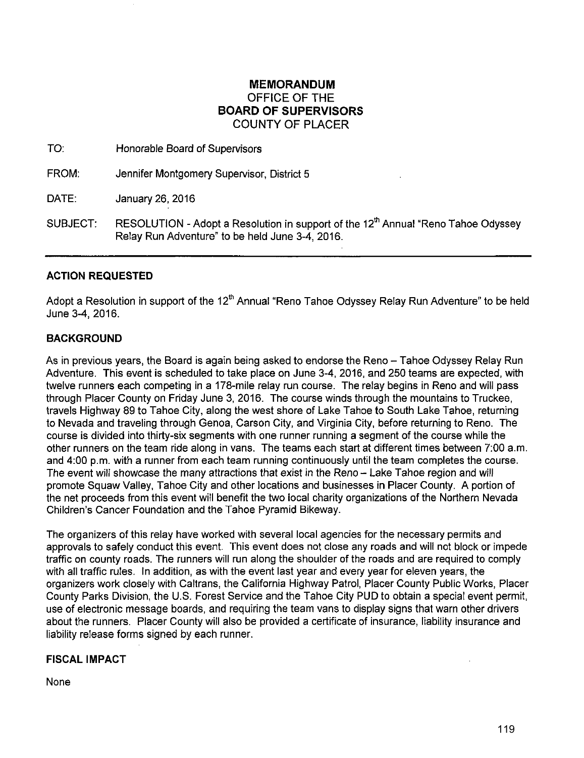## **MEMORANDUM**  OFFICE OF THE **BOARD OF SUPERVISORS**  COUNTY OF PLACER

TO: Honorable Board of Supervisors

FROM: Jennifer Montgomery Supervisor, District 5

DATE: January 26, 2016

SUBJECT: RESOLUTION - Adopt a Resolution in support of the 12<sup>th</sup> Annual "Reno Tahoe Odyssey Relay Run Adventure" to be held June 3-4, 2016.

#### **ACTION REQUESTED**

Adopt a Resolution in support of the  $12<sup>th</sup>$  Annual "Reno Tahoe Odyssey Relay Run Adventure" to be held June 3-4, 2016.

### **BACKGROUND**

As in previous years, the Board is again being asked to endorse the Reno - Tahoe Odyssey Relay Run Adventure. This event is scheduled to take place on June 3-4, 2016, and 250 teams are expected, with twelve runners each competing in a 178-mile relay run course. The relay begins in Reno and will pass through Placer County on Friday June 3, 2016. The course winds through the mountains to Truckee, travels Highway 89 to Tahoe City, along the west shore of Lake Tahoe to South Lake Tahoe, returning to Nevada and traveling through Genoa, Carson City, and Virginia City, before returning to Reno. The course is divided into thirty-six segments with one runner running a segment of the course while the other runners on the team ride along in vans. The teams each start at different times between 7:00a.m. and 4:00 p.m. with a runner from each team running continuously until the team completes the course. The event will showcase the many attractions that exist in the Reno - Lake Tahoe region and will promote Squaw Valley, Tahoe City and other locations and businesses in Placer County. A portion of the net proceeds from this event will benefit the two local charity organizations of the Northern Nevada Children's Cancer Foundation and the fahoe Pyramid Bikeway.

The organizers of this relay have worked with several local agencies for the necessary permits and approvals to safely conduct this event. This event does not close any roads and will not block or impede traffic on county roads. The runners will run along the shoulder of the roads and are required to comply with all traffic rules. In addition, as with the event last year and every year for eleven years, the organizers work closely with Caltrans, the California Highway Patrol, Placer County Public Works, Placer County Parks Division, the U.S. Forest Service and the Tahoe City PUD to obtain a special event permit, use of electronic message boards, and requiring the team vans to display signs that warn other drivers about the runners. Placer County will also be provided a certificate of insurance, liability insurance and liability release forms signed by each runner.

#### **FISCAL IMPACT**

None